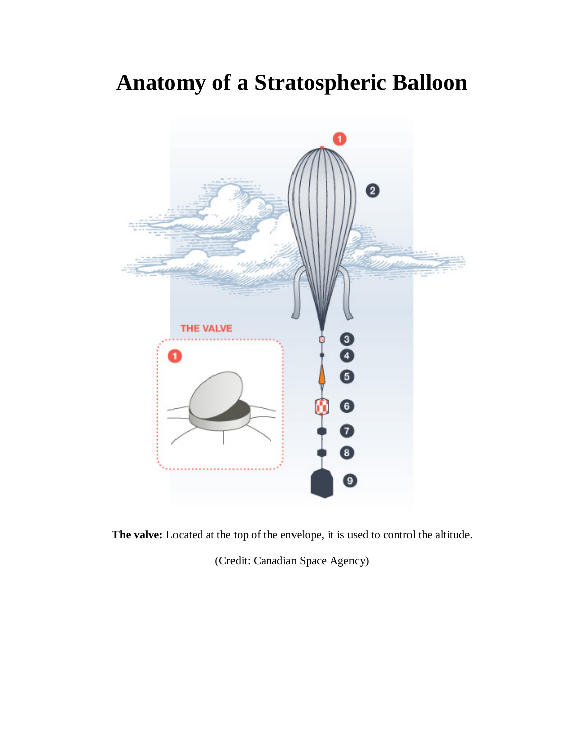## **Anatomy of a Stratospheric Balloon**



**The valve:** Located at the top of the envelope, it is used to control the altitude.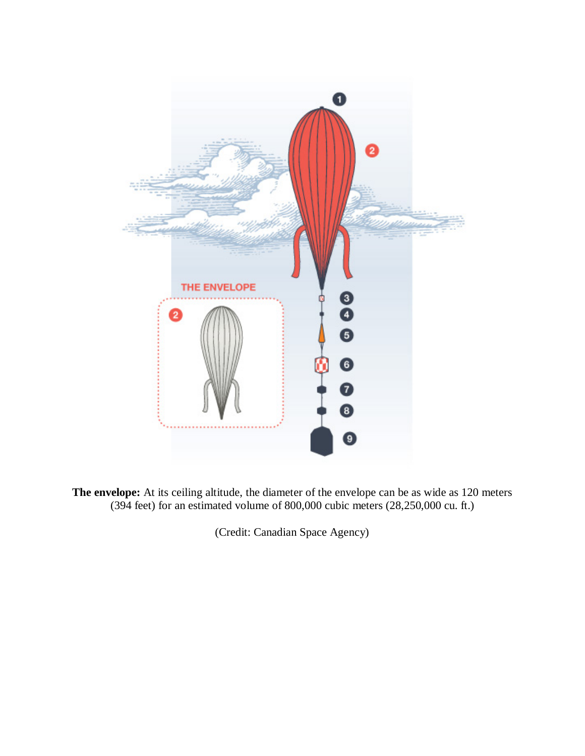

**The envelope:** At its ceiling altitude, the diameter of the envelope can be as wide as 120 meters (394 feet) for an estimated volume of 800,000 cubic meters (28,250,000 cu. ft.)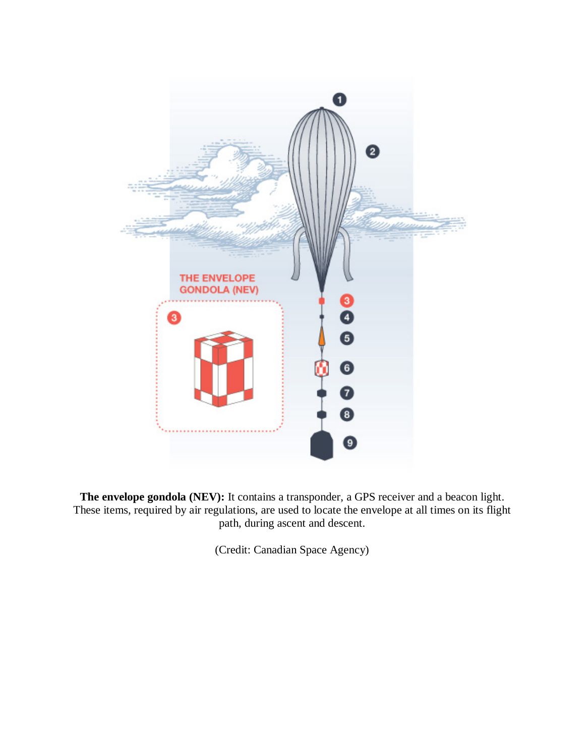

**The envelope gondola (NEV):** It contains a transponder, a GPS receiver and a beacon light. These items, required by air regulations, are used to locate the envelope at all times on its flight path, during ascent and descent.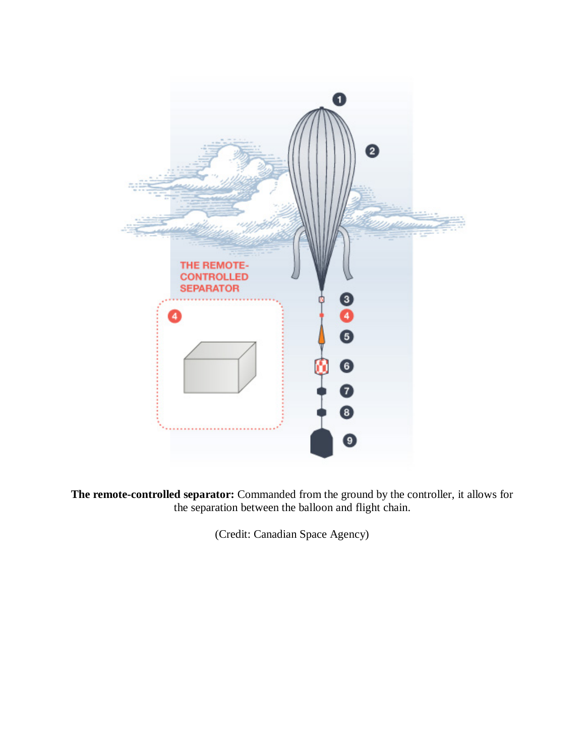

**The remote-controlled separator:** Commanded from the ground by the controller, it allows for the separation between the balloon and flight chain.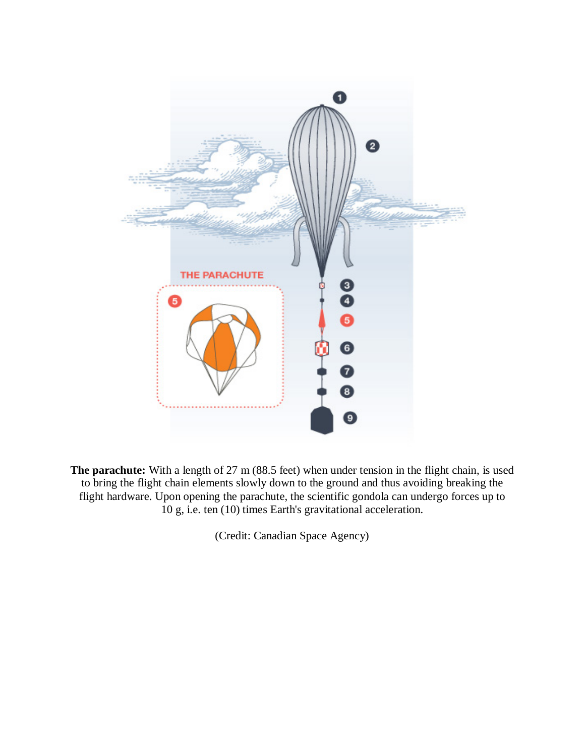

The parachute: With a length of 27 m (88.5 feet) when under tension in the flight chain, is used to bring the flight chain elements slowly down to the ground and thus avoiding breaking the flight hardware. Upon opening the parachute, the scientific gondola can undergo forces up to 10 g, i.e. ten (10) times Earth's gravitational acceleration.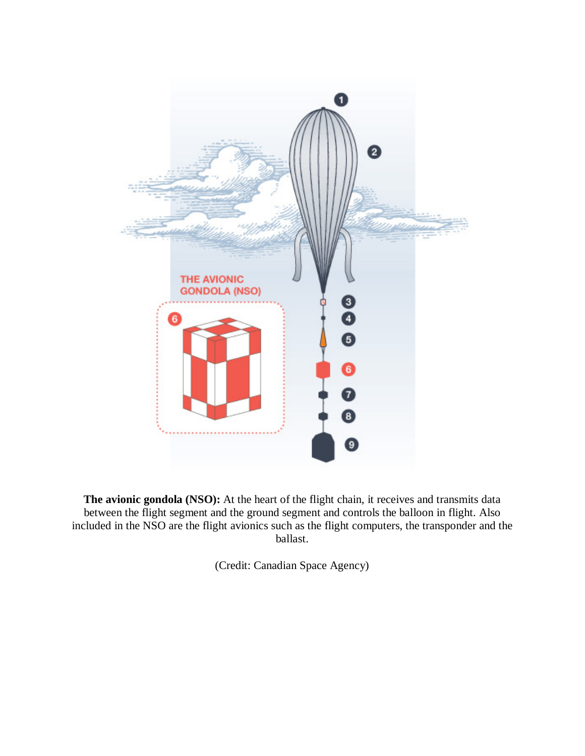

**The avionic gondola (NSO):** At the heart of the flight chain, it receives and transmits data between the flight segment and the ground segment and controls the balloon in flight. Also included in the NSO are the flight avionics such as the flight computers, the transponder and the ballast.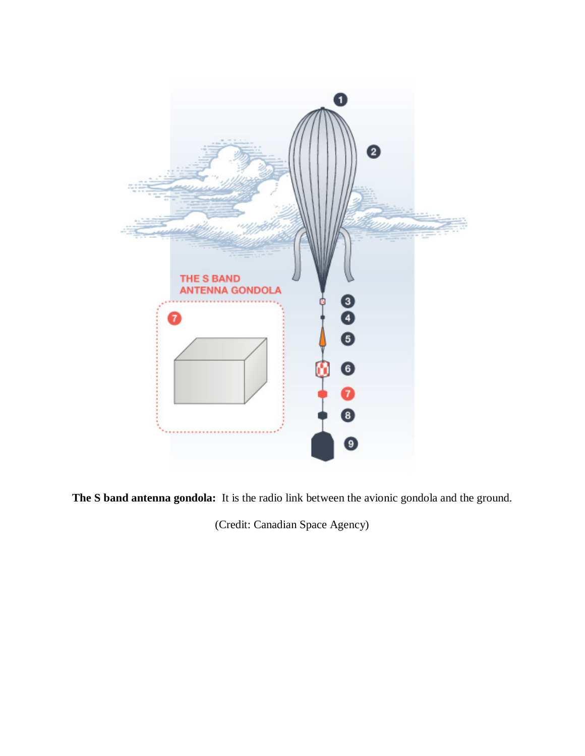

**The S band antenna gondola:** It is the radio link between the avionic gondola and the ground.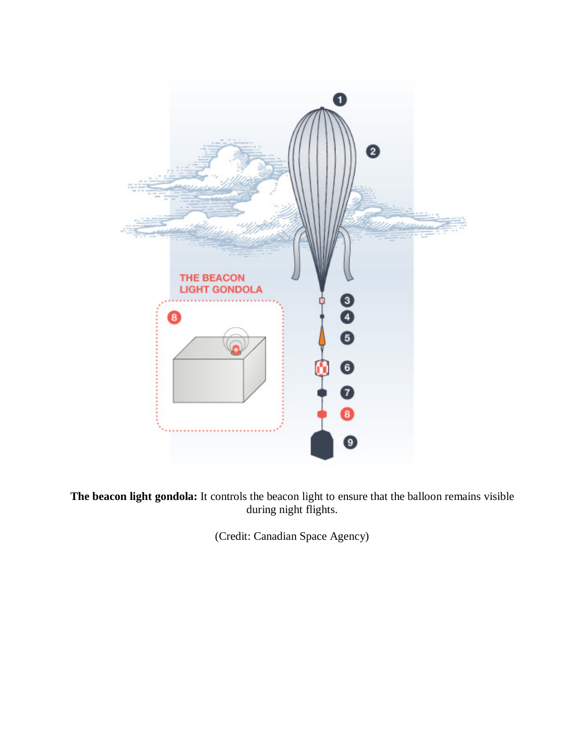

**The beacon light gondola:** It controls the beacon light to ensure that the balloon remains visible during night flights.